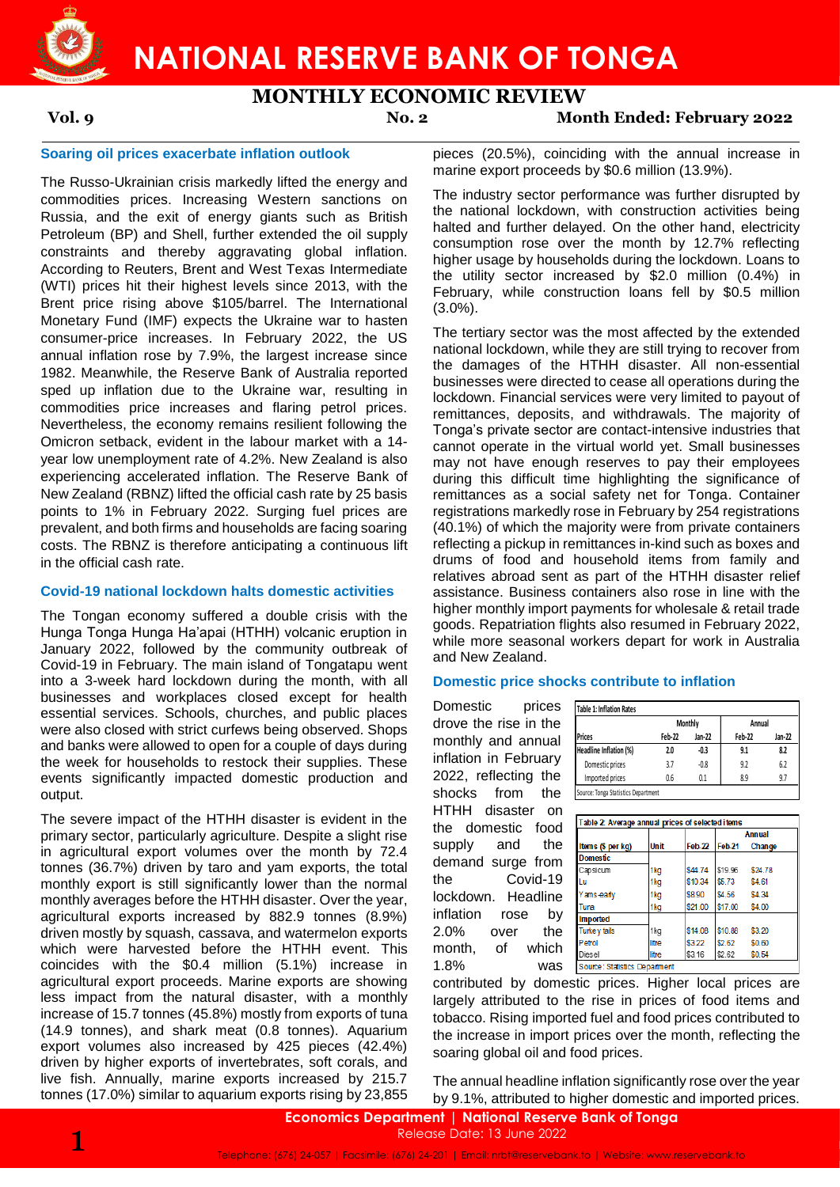**NATIONAL RESERVE BANK OF TONGA**

# **MONTHLY ECONOMIC REVIEW**

**Vol. 9 No. 2 Month Ended: February 2022**

### **Soaring oil prices exacerbate inflation outlook**

The Russo-Ukrainian crisis markedly lifted the energy and commodities prices. Increasing Western sanctions on Russia, and the exit of energy giants such as British Petroleum (BP) and Shell, further extended the oil supply constraints and thereby aggravating global inflation. According to Reuters, Brent and West Texas Intermediate (WTI) prices hit their highest levels since 2013, with the Brent price rising above \$105/barrel. The International Monetary Fund (IMF) expects the Ukraine war to hasten consumer-price increases. In February 2022, the US annual inflation rose by 7.9%, the largest increase since 1982. Meanwhile, the Reserve Bank of Australia reported sped up inflation due to the Ukraine war, resulting in commodities price increases and flaring petrol prices. Nevertheless, the economy remains resilient following the Omicron setback, evident in the labour market with a 14 year low unemployment rate of 4.2%. New Zealand is also experiencing accelerated inflation. The Reserve Bank of New Zealand (RBNZ) lifted the official cash rate by 25 basis points to 1% in February 2022. Surging fuel prices are prevalent, and both firms and households are facing soaring costs. The RBNZ is therefore anticipating a continuous lift in the official cash rate.

#### **Covid-19 national lockdown halts domestic activities**

The Tongan economy suffered a double crisis with the Hunga Tonga Hunga Ha'apai (HTHH) volcanic eruption in January 2022, followed by the community outbreak of Covid-19 in February. The main island of Tongatapu went into a 3-week hard lockdown during the month, with all businesses and workplaces closed except for health essential services. Schools, churches, and public places were also closed with strict curfews being observed. Shops and banks were allowed to open for a couple of days during the week for households to restock their supplies. These events significantly impacted domestic production and output.

The severe impact of the HTHH disaster is evident in the primary sector, particularly agriculture. Despite a slight rise in agricultural export volumes over the month by 72.4 tonnes (36.7%) driven by taro and yam exports, the total monthly export is still significantly lower than the normal monthly averages before the HTHH disaster. Over the year, agricultural exports increased by 882.9 tonnes (8.9%) driven mostly by squash, cassava, and watermelon exports which were harvested before the HTHH event. This coincides with the \$0.4 million (5.1%) increase in agricultural export proceeds. Marine exports are showing less impact from the natural disaster, with a monthly increase of 15.7 tonnes (45.8%) mostly from exports of tuna (14.9 tonnes), and shark meat (0.8 tonnes). Aquarium export volumes also increased by 425 pieces (42.4%) driven by higher exports of invertebrates, soft corals, and live fish. Annually, marine exports increased by 215.7 tonnes (17.0%) similar to aquarium exports rising by 23,855

pieces (20.5%), coinciding with the annual increase in marine export proceeds by \$0.6 million (13.9%).

The industry sector performance was further disrupted by the national lockdown, with construction activities being halted and further delayed. On the other hand, electricity consumption rose over the month by 12.7% reflecting higher usage by households during the lockdown. Loans to the utility sector increased by \$2.0 million (0.4%) in February, while construction loans fell by \$0.5 million (3.0%).

The tertiary sector was the most affected by the extended national lockdown, while they are still trying to recover from the damages of the HTHH disaster. All non-essential businesses were directed to cease all operations during the lockdown. Financial services were very limited to payout of remittances, deposits, and withdrawals. The majority of Tonga's private sector are contact-intensive industries that cannot operate in the virtual world yet. Small businesses may not have enough reserves to pay their employees during this difficult time highlighting the significance of remittances as a social safety net for Tonga. Container registrations markedly rose in February by 254 registrations (40.1%) of which the majority were from private containers reflecting a pickup in remittances in-kind such as boxes and drums of food and household items from family and relatives abroad sent as part of the HTHH disaster relief assistance. Business containers also rose in line with the higher monthly import payments for wholesale & retail trade goods. Repatriation flights also resumed in February 2022, while more seasonal workers depart for work in Australia and New Zealand.

#### **Domestic price shocks contribute to inflation**

|                        |        | <b>Monthly</b> | Annual |        |
|------------------------|--------|----------------|--------|--------|
| <b>Prices</b>          | Feb-22 | Jan-22         | Feb-22 | Jan-22 |
| Headline Inflation (%) | 2.0    | $-0.3$         | 9.1    | 8.2    |
| Domestic prices        | 3.7    | $-0.8$         | 9.2    | 6.2    |
| Imported prices        | 0.6    | 0.1            | 8.9    | 9.7    |

| DOMIESTIC<br>prices                                            | <b>Table 1: Inflation Rates</b>                  |             |         |         |                         |        |
|----------------------------------------------------------------|--------------------------------------------------|-------------|---------|---------|-------------------------|--------|
| drove the rise in the                                          |                                                  |             | Monthly |         | Annual                  |        |
| monthly and annual                                             | <b>Prices</b>                                    | Feb-22      | Jan-22  | Feb-22  |                         | Jan-22 |
| inflation in February                                          | Headline Inflation (%)                           | 2.0         | $-0.3$  | 9.1     |                         | 8.2    |
|                                                                | Domestic prices                                  | 3.7         | $-0.8$  | 9.2     |                         | 6.2    |
| 2022, reflecting the                                           | Imported prices                                  | 0.6         | 0.1     | 8.9     |                         | 9.7    |
| shocks<br>from<br>the                                          | Source: Tonga Statistics Department              |             |         |         |                         |        |
| нтнн<br>disaster<br>on                                         |                                                  |             |         |         |                         |        |
| the domestic food                                              | Table 2: Average annual prices of selected items |             |         |         |                         |        |
| supply<br>the<br>and                                           | Items (\$ per kg)                                | <b>Unit</b> | Feb-22  | Feb-21  | <b>Annual</b><br>Change |        |
|                                                                | <b>Domestic</b>                                  |             |         |         |                         |        |
| demand surge from                                              | Capsicum                                         | 1kg         | \$44.74 | \$19.96 | \$24.78                 |        |
| Covid-19<br>the⊤                                               | Lu                                               | 1kg         | \$10.34 | \$5.73  | \$4.61                  |        |
| lockdown. Headline                                             | Yams-early                                       | 1kg         | \$8.90  | \$4.56  | \$4.34                  |        |
| inflation<br>rose                                              | Tuna<br>by<br><b>Imported</b>                    | 1kg         | \$21.00 | \$17.00 | \$4.00                  |        |
| 2.0%<br>the<br>over                                            | <b>Turkey tails</b>                              | 1kg         | \$14.08 | \$10.88 | \$3.20                  |        |
| month.<br>which<br>of                                          | Petrol                                           | litre       | \$3.22  | \$2.62  | \$0.60                  |        |
|                                                                | Diesel                                           | litre       | \$3.16  | \$2.62  | \$0.54                  |        |
| 1.8%<br>was                                                    | Source: Statistics Department                    |             |         |         |                         |        |
| contributed by domestic prices. Higher local prices are        |                                                  |             |         |         |                         |        |
| largely attributed to the rise in prices of food items and     |                                                  |             |         |         |                         |        |
| tobacco. Rising imported fuel and food prices contributed to   |                                                  |             |         |         |                         |        |
| the increase in import prices over the month, reflecting the   |                                                  |             |         |         |                         |        |
| soaring global oil and food prices.                            |                                                  |             |         |         |                         |        |
|                                                                |                                                  |             |         |         |                         |        |
| The annual headline inflation significantly rose over the year |                                                  |             |         |         |                         |        |
| by 9.1%, attributed to higher domestic and imported prices.    |                                                  |             |         |         |                         |        |
|                                                                |                                                  |             |         |         |                         |        |

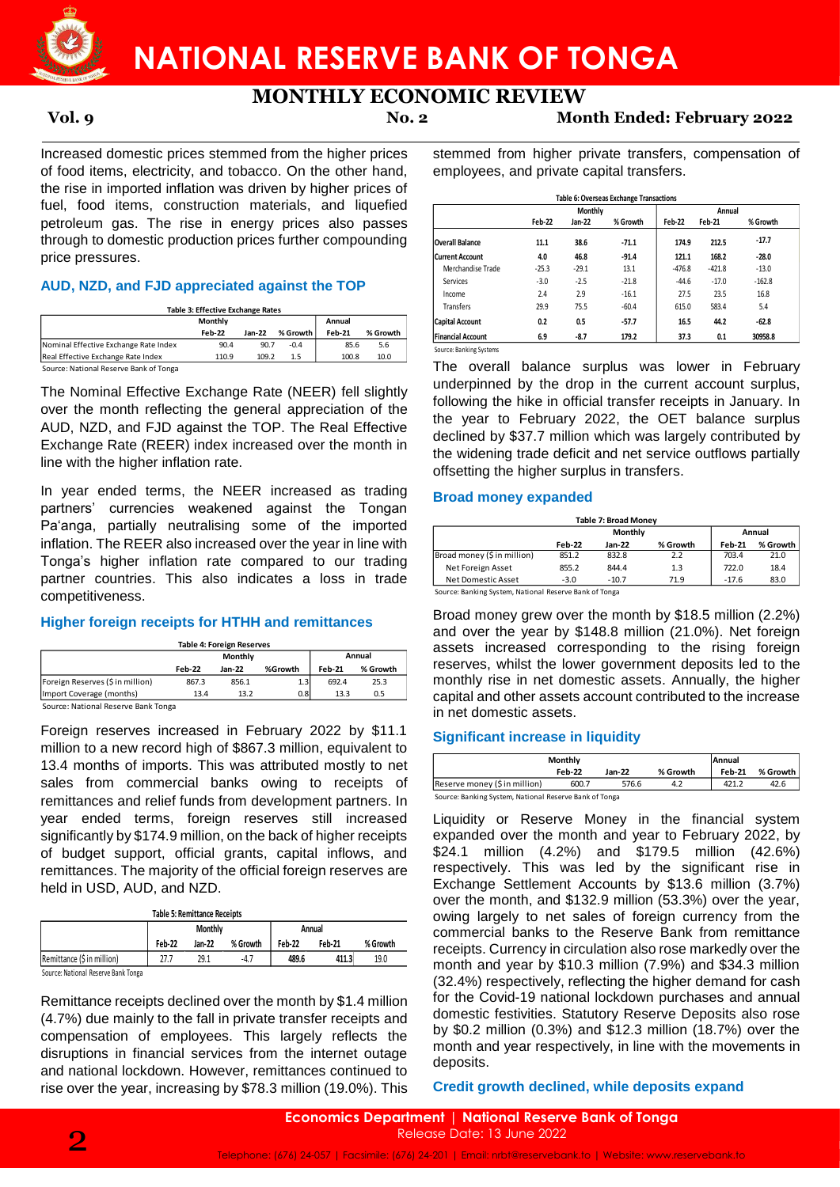

# **MONTHLY ECONOMIC REVIEW**

**Vol. 9 No. 2 Month Ended: February 2022**

Increased domestic prices stemmed from the higher prices of food items, electricity, and tobacco. On the other hand, the rise in imported inflation was driven by higher prices of fuel, food items, construction materials, and liquefied petroleum gas. The rise in energy prices also passes through to domestic production prices further compounding price pressures.

## **AUD, NZD, and FJD appreciated against the TOP**

| Table 3: Effective Exchange Rates |
|-----------------------------------|
|-----------------------------------|

|                                        | Monthly |          |          | Annual |          |
|----------------------------------------|---------|----------|----------|--------|----------|
|                                        | Feb-22  | $Jan-22$ | % Growth | Feb-21 | % Growth |
| Nominal Effective Exchange Rate Index  | 90.4    | 90.7     | $-0.4$   | 85.6   | 5.6      |
| Real Effective Exchange Rate Index     | 110.9   | 109.2    | 1.5      | 100.8  | 10.0     |
| Source: National Reserve Bank of Tonga |         |          |          |        |          |

The Nominal Effective Exchange Rate (NEER) fell slightly over the month reflecting the general appreciation of the AUD, NZD, and FJD against the TOP. The Real Effective Exchange Rate (REER) index increased over the month in line with the higher inflation rate.

In year ended terms, the NEER increased as trading partners' currencies weakened against the Tongan Pa'anga, partially neutralising some of the imported inflation. The REER also increased over the year in line with Tonga's higher inflation rate compared to our trading partner countries. This also indicates a loss in trade competitiveness.

## **Higher foreign receipts for HTHH and remittances**

| <b>Table 4: Foreign Reserves</b> |
|----------------------------------|
|----------------------------------|

|                                     |        | Monthly |         |               | Annual   |  |  |  |
|-------------------------------------|--------|---------|---------|---------------|----------|--|--|--|
|                                     | Feb-22 | Jan-22  | %Growth | <b>Feb-21</b> | % Growth |  |  |  |
| Foreign Reserves (\$in million)     | 867.3  | 856.1   | 1.3     | 692.4         | 25.3     |  |  |  |
| Import Coverage (months)            | 13.4   | 13.2    | 0.8     | 13.3          | 0.5      |  |  |  |
| Source: National Reserve Bank Tonga |        |         |         |               |          |  |  |  |

Foreign reserves increased in February 2022 by \$11.1 million to a new record high of \$867.3 million, equivalent to 13.4 months of imports. This was attributed mostly to net sales from commercial banks owing to receipts of remittances and relief funds from development partners. In year ended terms, foreign reserves still increased significantly by \$174.9 million, on the back of higher receipts of budget support, official grants, capital inflows, and remittances. The majority of the official foreign reserves are held in USD, AUD, and NZD.

| <b>Table 5: Remittance Receipts</b> |  |
|-------------------------------------|--|
|-------------------------------------|--|

|                                     |        | <b>Monthly</b> |          |               | Annual        |          |
|-------------------------------------|--------|----------------|----------|---------------|---------------|----------|
|                                     | Feb 22 | Jan-22         | % Growth | <b>Feb-22</b> | <b>Feb 21</b> | % Growth |
| Remittance (\$ in million)          | 27.7   | 29.1           | -4.7     | 489.6         | 411.3         | 19.0     |
| Source: National Reserve Bank Tonga |        |                |          |               |               |          |

Remittance receipts declined over the month by \$1.4 million (4.7%) due mainly to the fall in private transfer receipts and compensation of employees. This largely reflects the disruptions in financial services from the internet outage and national lockdown. However, remittances continued to rise over the year, increasing by \$78.3 million (19.0%). This stemmed from higher private transfers, compensation of employees, and private capital transfers.

|                          |               | <b>Monthly</b> |          |               | Annual   |          |
|--------------------------|---------------|----------------|----------|---------------|----------|----------|
|                          | <b>Feb-22</b> | Jan-22         | % Growth | <b>Feb-22</b> | Feb-21   | % Growth |
| <b>Overall Balance</b>   | 11.1          | 38.6           | $-71.1$  | 174.9         | 212.5    | $-17.7$  |
| <b>Current Account</b>   | 4.0           | 46.8           | $-91.4$  | 121.1         | 168.2    | $-28.0$  |
| Merchandise Trade        | $-25.3$       | $-29.1$        | 13.1     | $-476.8$      | $-421.8$ | $-13.0$  |
| Services                 | $-3.0$        | $-2.5$         | $-21.8$  | $-44.6$       | $-17.0$  | $-162.8$ |
| Income                   | 2.4           | 2.9            | $-16.1$  | 27.5          | 23.5     | 16.8     |
| Transfers                | 29.9          | 75.5           | $-60.4$  | 615.0         | 583.4    | 5.4      |
| <b>Capital Account</b>   | 0.2           | 0.5            | $-57.7$  | 16.5          | 44.2     | $-62.8$  |
| <b>Financial Account</b> | 6.9           | $-8.7$         | 179.2    | 37.3          | 0.1      | 30958.8  |

Source: Banking Systems

The overall balance surplus was lower in February underpinned by the drop in the current account surplus, following the hike in official transfer receipts in January. In the year to February 2022, the OET balance surplus declined by \$37.7 million which was largely contributed by the widening trade deficit and net service outflows partially offsetting the higher surplus in transfers.

## **Broad money expanded**

|                   |                                           |                                                        | <b>Table 7: Broad Monev</b> |          |  |  |  |  |  |  |  |
|-------------------|-------------------------------------------|--------------------------------------------------------|-----------------------------|----------|--|--|--|--|--|--|--|
| Monthly<br>Annual |                                           |                                                        |                             |          |  |  |  |  |  |  |  |
|                   | Jan-22                                    | % Growth                                               | <b>Feb-21</b>               | % Growth |  |  |  |  |  |  |  |
|                   | 832.8                                     | 2.2                                                    | 703.4                       | 21.0     |  |  |  |  |  |  |  |
|                   | 844.4                                     | 1.3                                                    | 722.0                       | 18.4     |  |  |  |  |  |  |  |
|                   | $-10.7$                                   | 71.9                                                   | $-17.6$                     | 83.0     |  |  |  |  |  |  |  |
|                   | <b>Feb-22</b><br>851.2<br>855.2<br>$-3.0$ | Source: Banking System, National Reserve Bank of Tonga |                             |          |  |  |  |  |  |  |  |

e: Banking System, National Reserve Bank of Tonga

Broad money grew over the month by \$18.5 million (2.2%) and over the year by \$148.8 million (21.0%). Net foreign assets increased corresponding to the rising foreign reserves, whilst the lower government deposits led to the monthly rise in net domestic assets. Annually, the higher capital and other assets account contributed to the increase in net domestic assets.

# **Significant increase in liquidity**

|                                                        | Monthly       |        |          | <b>Annual</b> |          |  |
|--------------------------------------------------------|---------------|--------|----------|---------------|----------|--|
|                                                        | <b>Feb-22</b> | Jan-22 | % Growth | <b>Feb-21</b> | % Growth |  |
| Reserve money (\$ in million)                          | 600.7         | 576.6  | 4.7      | 421.2         | 42.6     |  |
| Source: Banking System, National Reserve Bank of Tonga |               |        |          |               |          |  |

Liquidity or Reserve Money in the financial system expanded over the month and year to February 2022, by \$24.1 million (4.2%) and \$179.5 million (42.6%) respectively. This was led by the significant rise in Exchange Settlement Accounts by \$13.6 million (3.7%) over the month, and \$132.9 million (53.3%) over the year, owing largely to net sales of foreign currency from the commercial banks to the Reserve Bank from remittance receipts. Currency in circulation also rose markedly over the month and year by \$10.3 million (7.9%) and \$34.3 million (32.4%) respectively, reflecting the higher demand for cash for the Covid-19 national lockdown purchases and annual domestic festivities. Statutory Reserve Deposits also rose by \$0.2 million (0.3%) and \$12.3 million (18.7%) over the month and year respectively, in line with the movements in deposits.

# **Credit growth declined, while deposits expand**